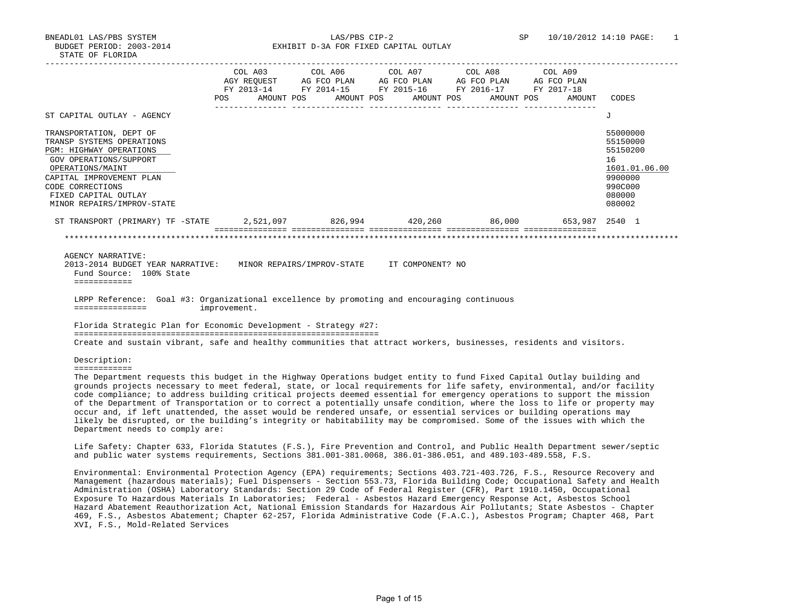BUDGET PERIOD: 2003-2014 EXHIBIT D-3A FOR FIXED CAPITAL OUTLAY

|                                                                                                                                                                                                                                                                                                                                                                                                                                                                                                                                                                                                                                                                                                                                                                                                              |              | COL A03 COL A06 COL A07 COL A08 COL A09<br>POS AMOUNT POS AMOUNT POS AMOUNT POS AMOUNT POS AMOUNT CODES |  |                                                                                                   |
|--------------------------------------------------------------------------------------------------------------------------------------------------------------------------------------------------------------------------------------------------------------------------------------------------------------------------------------------------------------------------------------------------------------------------------------------------------------------------------------------------------------------------------------------------------------------------------------------------------------------------------------------------------------------------------------------------------------------------------------------------------------------------------------------------------------|--------------|---------------------------------------------------------------------------------------------------------|--|---------------------------------------------------------------------------------------------------|
| ST CAPITAL OUTLAY - AGENCY                                                                                                                                                                                                                                                                                                                                                                                                                                                                                                                                                                                                                                                                                                                                                                                   |              |                                                                                                         |  | J                                                                                                 |
| TRANSPORTATION, DEPT OF<br>TRANSP SYSTEMS OPERATIONS<br>PGM: HIGHWAY OPERATIONS<br>GOV OPERATIONS/SUPPORT<br>OPERATIONS/MAINT<br>CAPITAL IMPROVEMENT PLAN<br>CODE CORRECTIONS<br>FIXED CAPITAL OUTLAY<br>MINOR REPAIRS/IMPROV-STATE                                                                                                                                                                                                                                                                                                                                                                                                                                                                                                                                                                          |              |                                                                                                         |  | 55000000<br>55150000<br>55150200<br>16<br>1601.01.06.00<br>9900000<br>990C000<br>080000<br>080002 |
| ST TRANSPORT (PRIMARY) TF -STATE 2,521,097 826,994 420,260 86,000 653,987 2540 1                                                                                                                                                                                                                                                                                                                                                                                                                                                                                                                                                                                                                                                                                                                             |              |                                                                                                         |  |                                                                                                   |
| LRPP Reference: Goal #3: Organizational excellence by promoting and encouraging continuous<br>Florida Strategic Plan for Economic Development - Strategy #27:                                                                                                                                                                                                                                                                                                                                                                                                                                                                                                                                                                                                                                                | improvement. |                                                                                                         |  |                                                                                                   |
| Create and sustain vibrant, safe and healthy communities that attract workers, businesses, residents and visitors.<br>Description:                                                                                                                                                                                                                                                                                                                                                                                                                                                                                                                                                                                                                                                                           |              |                                                                                                         |  |                                                                                                   |
| ============<br>The Department requests this budget in the Highway Operations budget entity to fund Fixed Capital Outlay building and<br>grounds projects necessary to meet federal, state, or local requirements for life safety, environmental, and/or facility<br>code compliance; to address building critical projects deemed essential for emergency operations to support the mission<br>of the Department of Transportation or to correct a potentially unsafe condition, where the loss to life or property may<br>occur and, if left unattended, the asset would be rendered unsafe, or essential services or building operations may<br>likely be disrupted, or the building's integrity or habitability may be compromised. Some of the issues with which the<br>Department needs to comply are: |              |                                                                                                         |  |                                                                                                   |
| Life Safety: Chapter 633, Florida Statutes (F.S.), Fire Prevention and Control, and Public Health Department sewer/septic<br>and public water systems requirements, Sections 381.001-381.0068, 386.01-386.051, and 489.103-489.558, F.S.                                                                                                                                                                                                                                                                                                                                                                                                                                                                                                                                                                     |              |                                                                                                         |  |                                                                                                   |
| Environmental: Environmental Protection Agency (EPA) requirements; Sections 403.721-403.726, F.S., Resource Recovery and<br>Management (hazardous materials); Fuel Dispensers - Section 553.73, Florida Building Code; Occupational Safety and Health<br>Administration (OSHA) Laboratory Standards: Section 29 Code of Federal Register (CFR), Part 1910.1450, Occupational                                                                                                                                                                                                                                                                                                                                                                                                                                 |              |                                                                                                         |  |                                                                                                   |

 Exposure To Hazardous Materials In Laboratories; Federal - Asbestos Hazard Emergency Response Act, Asbestos School Hazard Abatement Reauthorization Act, National Emission Standards for Hazardous Air Pollutants; State Asbestos - Chapter 469, F.S., Asbestos Abatement; Chapter 62-257, Florida Administrative Code (F.A.C.), Asbestos Program; Chapter 468, Part XVI, F.S., Mold-Related Services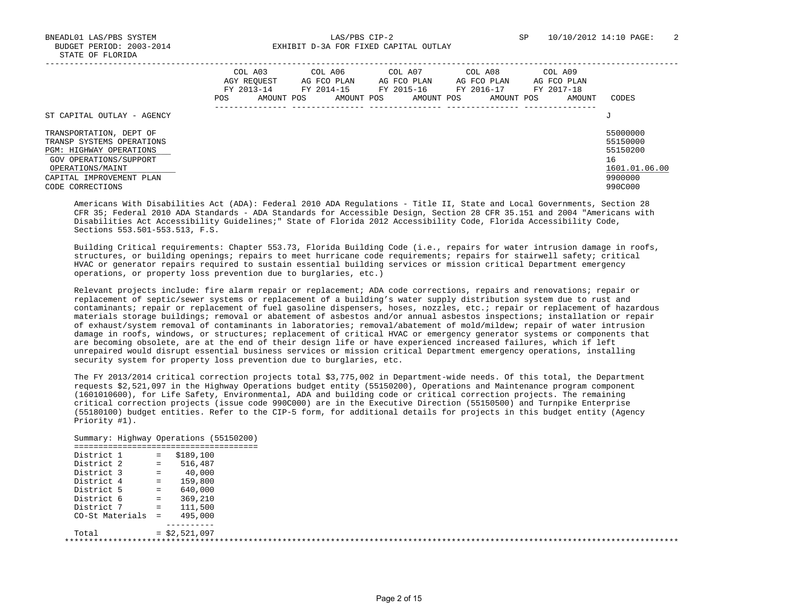BNEADL01 LAS/PBS SYSTEM LAS/PBS CIP-2 SP 10/10/2012 14:10 PAGE: 2 BUDGET PERIOD: 2003-2014 **EXHIBIT D-3A FOR FIXED CAPITAL OUTLAY** 

|                                                                                                                                                                  | COL A03<br>COL A06<br>COL A07<br>COL A08<br>COL A09<br>AGY REOUEST<br>AG FCO PLAN<br>AG FCO PLAN<br>AG FCO PLAN<br>AG FCO PLAN<br>FY 2014-15<br>FY 2015-16<br>FY 2017-18<br>FY 2013-14<br>FY 2016-17<br>AMOUNT POS<br>AMOUNT POS<br>AMOUNT POS<br>AMOUNT POS<br>AMOUNT<br><b>POS</b> | CODES                                                              |
|------------------------------------------------------------------------------------------------------------------------------------------------------------------|--------------------------------------------------------------------------------------------------------------------------------------------------------------------------------------------------------------------------------------------------------------------------------------|--------------------------------------------------------------------|
| ST CAPITAL OUTLAY - AGENCY                                                                                                                                       | J                                                                                                                                                                                                                                                                                    |                                                                    |
| TRANSPORTATION, DEPT OF<br>TRANSP SYSTEMS OPERATIONS<br><b>PGM: HIGHWAY OPERATIONS</b><br>GOV OPERATIONS/SUPPORT<br>OPERATIONS/MAINT<br>CAPITAL IMPROVEMENT PLAN |                                                                                                                                                                                                                                                                                      | 55000000<br>55150000<br>55150200<br>16<br>1601.01.06.00<br>9900000 |
| CODE CORRECTIONS                                                                                                                                                 |                                                                                                                                                                                                                                                                                      | 990C000                                                            |

 Americans With Disabilities Act (ADA): Federal 2010 ADA Regulations - Title II, State and Local Governments, Section 28 CFR 35; Federal 2010 ADA Standards - ADA Standards for Accessible Design, Section 28 CFR 35.151 and 2004 "Americans with Disabilities Act Accessibility Guidelines;" State of Florida 2012 Accessibility Code, Florida Accessibility Code, Sections 553.501-553.513, F.S.

 Building Critical requirements: Chapter 553.73, Florida Building Code (i.e., repairs for water intrusion damage in roofs, structures, or building openings; repairs to meet hurricane code requirements; repairs for stairwell safety; critical HVAC or generator repairs required to sustain essential building services or mission critical Department emergency operations, or property loss prevention due to burglaries, etc.)

 Relevant projects include: fire alarm repair or replacement; ADA code corrections, repairs and renovations; repair or replacement of septic/sewer systems or replacement of a building's water supply distribution system due to rust and contaminants; repair or replacement of fuel gasoline dispensers, hoses, nozzles, etc.; repair or replacement of hazardous materials storage buildings; removal or abatement of asbestos and/or annual asbestos inspections; installation or repair of exhaust/system removal of contaminants in laboratories; removal/abatement of mold/mildew; repair of water intrusion damage in roofs, windows, or structures; replacement of critical HVAC or emergency generator systems or components that are becoming obsolete, are at the end of their design life or have experienced increased failures, which if left unrepaired would disrupt essential business services or mission critical Department emergency operations, installing security system for property loss prevention due to burglaries, etc.

 The FY 2013/2014 critical correction projects total \$3,775,002 in Department-wide needs. Of this total, the Department requests \$2,521,097 in the Highway Operations budget entity (55150200), Operations and Maintenance program component (1601010600), for Life Safety, Environmental, ADA and building code or critical correction projects. The remaining critical correction projects (issue code 990C000) are in the Executive Direction (55150500) and Turnpike Enterprise (55180100) budget entities. Refer to the CIP-5 form, for additional details for projects in this budget entity (Agency Priority #1).

| District 1          | $\mathbf{r} = \mathbf{r} \cdot \mathbf{r}$ | \$189,100      |  |
|---------------------|--------------------------------------------|----------------|--|
| District 2          | $=$                                        | 516,487        |  |
| District 3          | $=$ $\,$                                   | 40,000         |  |
| District 4          | $=$                                        | 159,800        |  |
| District 5          | $=$                                        | 640,000        |  |
| District 6          | $=$ $\,$                                   | 369,210        |  |
| District 7          | $=$                                        | 111,500        |  |
| $CO-St$ Materials = |                                            | 495,000        |  |
|                     |                                            |                |  |
| Total               |                                            | $= $2,521,097$ |  |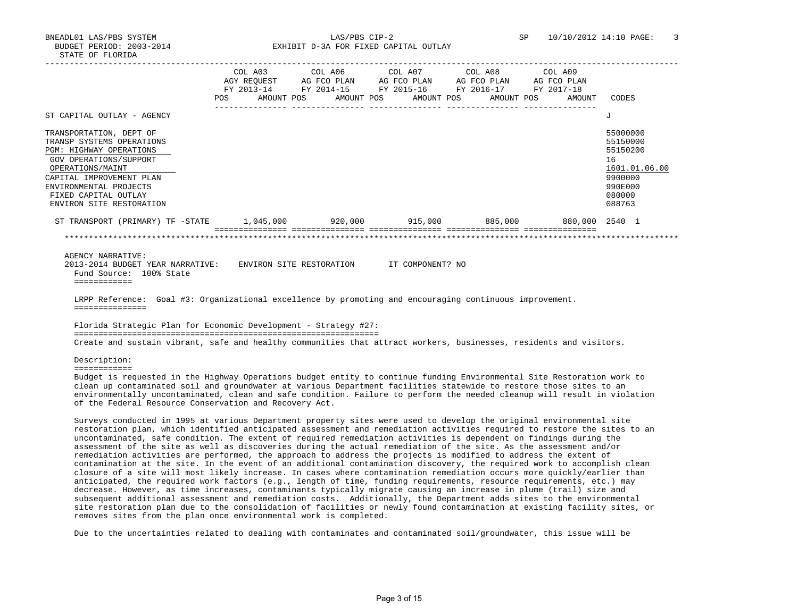BNEADL01 LAS/PBS SYSTEM LAS/PBS CIP-2 SP 10/10/2012 14:10 PAGE: 3 BUDGET PERIOD: 2003-2014 **EXHIBIT D-3A FOR FIXED CAPITAL OUTLAY** 

|                                                                                                                                                                                                                                                |      |                       | COL A03 COL A06 COL A07 COL A08 COL A09                     |                       |                |                                                                                                   |
|------------------------------------------------------------------------------------------------------------------------------------------------------------------------------------------------------------------------------------------------|------|-----------------------|-------------------------------------------------------------|-----------------------|----------------|---------------------------------------------------------------------------------------------------|
|                                                                                                                                                                                                                                                |      |                       | AGY REQUEST AG FCO PLAN AG FCO PLAN AG FCO PLAN AG FCO PLAN |                       |                |                                                                                                   |
|                                                                                                                                                                                                                                                |      |                       | FY 2013-14 FY 2014-15 FY 2015-16 FY 2016-17 FY 2017-18      |                       |                |                                                                                                   |
|                                                                                                                                                                                                                                                | POS. | AMOUNT POS AMOUNT POS |                                                             | AMOUNT POS AMOUNT POS | AMOUNT         | CODES                                                                                             |
|                                                                                                                                                                                                                                                |      |                       |                                                             |                       |                |                                                                                                   |
| ST CAPITAL OUTLAY - AGENCY                                                                                                                                                                                                                     |      |                       |                                                             |                       |                | $\overline{J}$                                                                                    |
| TRANSPORTATION, DEPT OF<br>TRANSP SYSTEMS OPERATIONS<br><b>PGM: HIGHWAY OPERATIONS</b><br>GOV OPERATIONS/SUPPORT<br>OPERATIONS/MAINT<br>CAPITAL IMPROVEMENT PLAN<br>ENVIRONMENTAL PROJECTS<br>FIXED CAPITAL OUTLAY<br>ENVIRON SITE RESTORATION |      |                       |                                                             |                       |                | 55000000<br>55150000<br>55150200<br>16<br>1601.01.06.00<br>9900000<br>990E000<br>080000<br>088763 |
| ST TRANSPORT (PRIMARY) TF -STATE 1,045,000 920,000 915,000 885,000                                                                                                                                                                             |      |                       |                                                             |                       | 880.000 2540 1 |                                                                                                   |
|                                                                                                                                                                                                                                                |      |                       |                                                             |                       |                |                                                                                                   |
| <b>AGENCY NARRATIVE:</b><br>2013-2014 BUDGET YEAR NARRATIVE: ENVIRON SITE RESTORATION IT COMPONENT? NO<br>Fund Source: 100% State<br>============                                                                                              |      |                       |                                                             |                       |                |                                                                                                   |
| LRPP Reference: Goal #3: Organizational excellence by promoting and encouraging continuous improvement.<br>===============                                                                                                                     |      |                       |                                                             |                       |                |                                                                                                   |
| Florida Strategic Plan for Economic Development - Strategy #27:                                                                                                                                                                                |      |                       |                                                             |                       |                |                                                                                                   |

Create and sustain vibrant, safe and healthy communities that attract workers, businesses, residents and visitors.

Description:

============

 Budget is requested in the Highway Operations budget entity to continue funding Environmental Site Restoration work to clean up contaminated soil and groundwater at various Department facilities statewide to restore those sites to an environmentally uncontaminated, clean and safe condition. Failure to perform the needed cleanup will result in violation of the Federal Resource Conservation and Recovery Act.

 Surveys conducted in 1995 at various Department property sites were used to develop the original environmental site restoration plan, which identified anticipated assessment and remediation activities required to restore the sites to an uncontaminated, safe condition. The extent of required remediation activities is dependent on findings during the assessment of the site as well as discoveries during the actual remediation of the site. As the assessment and/or remediation activities are performed, the approach to address the projects is modified to address the extent of contamination at the site. In the event of an additional contamination discovery, the required work to accomplish clean closure of a site will most likely increase. In cases where contamination remediation occurs more quickly/earlier than anticipated, the required work factors (e.g., length of time, funding requirements, resource requirements, etc.) may decrease. However, as time increases, contaminants typically migrate causing an increase in plume (trail) size and subsequent additional assessment and remediation costs. Additionally, the Department adds sites to the environmental site restoration plan due to the consolidation of facilities or newly found contamination at existing facility sites, or removes sites from the plan once environmental work is completed.

Due to the uncertainties related to dealing with contaminates and contaminated soil/groundwater, this issue will be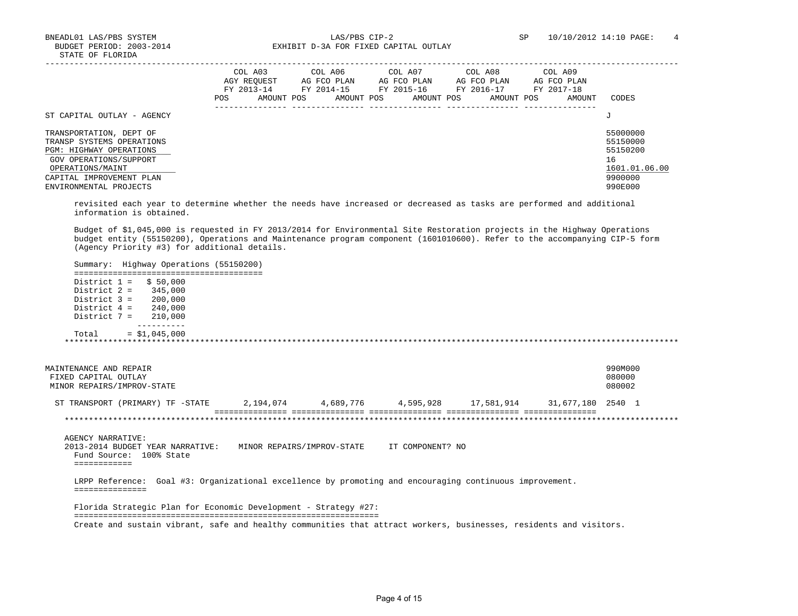BNEADL01 LAS/PBS SYSTEM LAS/PBS CIP-2 SP 10/10/2012 14:10 PAGE: 4 BUDGET PERIOD: 2003-2014 **EXHIBIT D-3A FOR FIXED CAPITAL OUTLAY** 

|                                                                                                                                                                                     | COL A03<br>AGY REOUEST<br>FY 2013-14<br>POS.<br>AMOUNT POS | COL A06<br>AG FCO PLAN<br>FY 2014-15<br>AMOUNT POS | COL A07<br>AG FCO PLAN<br>FY 2015-16<br>AMOUNT POS | COL A08<br>AG FCO PLAN<br>FY 2016-17<br>AMOUNT POS | COL A09<br>AG FCO PLAN<br>FY 2017-18<br>AMOUNT | CODES                                                                         |
|-------------------------------------------------------------------------------------------------------------------------------------------------------------------------------------|------------------------------------------------------------|----------------------------------------------------|----------------------------------------------------|----------------------------------------------------|------------------------------------------------|-------------------------------------------------------------------------------|
| ST CAPITAL OUTLAY - AGENCY                                                                                                                                                          |                                                            |                                                    |                                                    |                                                    |                                                | J                                                                             |
| TRANSPORTATION, DEPT OF<br>TRANSP SYSTEMS OPERATIONS<br>PGM: HIGHWAY OPERATIONS<br>GOV OPERATIONS/SUPPORT<br>OPERATIONS/MAINT<br>CAPITAL IMPROVEMENT PLAN<br>ENVIRONMENTAL PROJECTS |                                                            |                                                    |                                                    |                                                    |                                                | 55000000<br>55150000<br>55150200<br>16<br>1601.01.06.00<br>9900000<br>990E000 |

 revisited each year to determine whether the needs have increased or decreased as tasks are performed and additional information is obtained.

 Budget of \$1,045,000 is requested in FY 2013/2014 for Environmental Site Restoration projects in the Highway Operations budget entity (55150200), Operations and Maintenance program component (1601010600). Refer to the accompanying CIP-5 form (Agency Priority #3) for additional details.

 Summary: Highway Operations (55150200) ======================================= District  $1 =$  \$ 50,000 District 2 = 345,000 District 3 = 200,000 District 4 = 240,000 District 7 = 210,000 ----------  $Total = $1,045,000$  \*\*\*\*\*\*\*\*\*\*\*\*\*\*\*\*\*\*\*\*\*\*\*\*\*\*\*\*\*\*\*\*\*\*\*\*\*\*\*\*\*\*\*\*\*\*\*\*\*\*\*\*\*\*\*\*\*\*\*\*\*\*\*\*\*\*\*\*\*\*\*\*\*\*\*\*\*\*\*\*\*\*\*\*\*\*\*\*\*\*\*\*\*\*\*\*\*\*\*\*\*\*\*\*\*\*\*\*\*\*\*\*\*\*\*\*\*\*\*\*\*\*\*\*\*\*\* MAINTENANCE AND REPAIR 990M000<br>FIXED CAPITAL OUTLAY 1990 CONTROL CONTROL CONTROL CONTROL CONTROL OF A SUBSEXUAL CONTROL OF A SUBSEXUAL CONTRO<br>TIXED CAPITAL OUTLAY FIXED CAPITAL OUTLAY MINOR REPAIRS/IMPROV-STATE 080002 ST TRANSPORT (PRIMARY) TF -STATE 2,194,074 4,689,776 4,595,928 17,581,914 31,677,180 2540 1 =============== =============== =============== =============== =============== \*\*\*\*\*\*\*\*\*\*\*\*\*\*\*\*\*\*\*\*\*\*\*\*\*\*\*\*\*\*\*\*\*\*\*\*\*\*\*\*\*\*\*\*\*\*\*\*\*\*\*\*\*\*\*\*\*\*\*\*\*\*\*\*\*\*\*\*\*\*\*\*\*\*\*\*\*\*\*\*\*\*\*\*\*\*\*\*\*\*\*\*\*\*\*\*\*\*\*\*\*\*\*\*\*\*\*\*\*\*\*\*\*\*\*\*\*\*\*\*\*\*\*\*\*\*\* AGENCY NARRATIVE: 2013-2014 BUDGET YEAR NARRATIVE: MINOR REPAIRS/IMPROV-STATE IT COMPONENT? NO Fund Source: 100% State ============ LRPP Reference: Goal #3: Organizational excellence by promoting and encouraging continuous improvement. =============== Florida Strategic Plan for Economic Development - Strategy #27: =============================================================== Create and sustain vibrant, safe and healthy communities that attract workers, businesses, residents and visitors.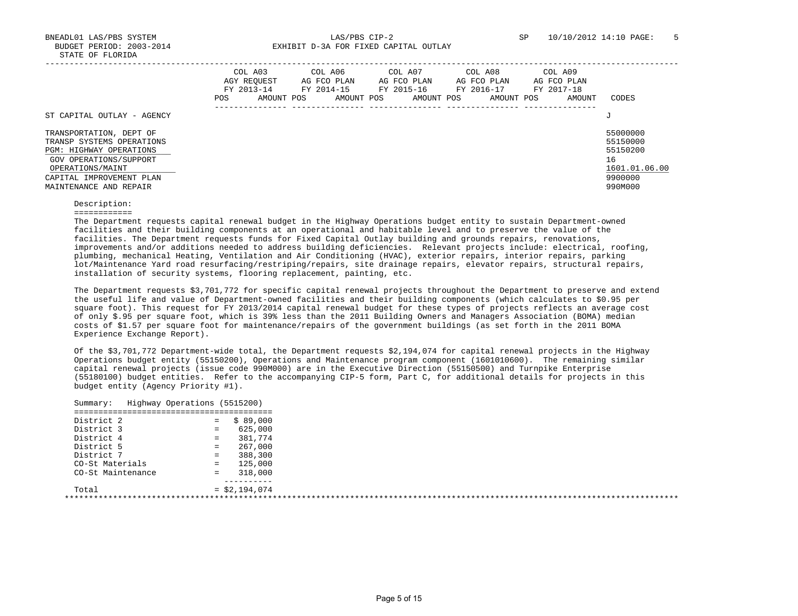BNEADL01 LAS/PBS SYSTEM LAS/PBS CIP-2 SP 10/10/2012 14:10 PAGE: 5 BUDGET PERIOD: 2003-2014 **EXHIBIT D-3A FOR FIXED CAPITAL OUTLAY** 

|                                                                                                                                                                                     | COL A03<br>AGY REOUEST<br>FY 2013-14<br>POS.<br>AMOUNT POS | COL A06<br>AG FCO PLAN<br>FY 2014-15<br>AMOUNT POS | COL A07<br>AG FCO PLAN<br>FY 2015-16<br>AMOUNT POS | COL A08<br>AG FCO PLAN<br>FY 2016-17<br>AMOUNT POS | COL A09<br>AG FCO PLAN<br>FY 2017-18<br>AMOUNT | CODES                                                                         |
|-------------------------------------------------------------------------------------------------------------------------------------------------------------------------------------|------------------------------------------------------------|----------------------------------------------------|----------------------------------------------------|----------------------------------------------------|------------------------------------------------|-------------------------------------------------------------------------------|
| ST CAPITAL OUTLAY - AGENCY                                                                                                                                                          |                                                            |                                                    |                                                    |                                                    |                                                | J                                                                             |
| TRANSPORTATION, DEPT OF<br>TRANSP SYSTEMS OPERATIONS<br>PGM: HIGHWAY OPERATIONS<br>GOV OPERATIONS/SUPPORT<br>OPERATIONS/MAINT<br>CAPITAL IMPROVEMENT PLAN<br>MAINTENANCE AND REPAIR |                                                            |                                                    |                                                    |                                                    |                                                | 55000000<br>55150000<br>55150200<br>16<br>1601.01.06.00<br>9900000<br>990M000 |

 Description: ============

 The Department requests capital renewal budget in the Highway Operations budget entity to sustain Department-owned facilities and their building components at an operational and habitable level and to preserve the value of the facilities. The Department requests funds for Fixed Capital Outlay building and grounds repairs, renovations, improvements and/or additions needed to address building deficiencies. Relevant projects include: electrical, roofing, plumbing, mechanical Heating, Ventilation and Air Conditioning (HVAC), exterior repairs, interior repairs, parking lot/Maintenance Yard road resurfacing/restriping/repairs, site drainage repairs, elevator repairs, structural repairs, installation of security systems, flooring replacement, painting, etc.

 The Department requests \$3,701,772 for specific capital renewal projects throughout the Department to preserve and extend the useful life and value of Department-owned facilities and their building components (which calculates to \$0.95 per square foot). This request for FY 2013/2014 capital renewal budget for these types of projects reflects an average cost of only \$.95 per square foot, which is 39% less than the 2011 Building Owners and Managers Association (BOMA) median costs of \$1.57 per square foot for maintenance/repairs of the government buildings (as set forth in the 2011 BOMA Experience Exchange Report).

 Of the \$3,701,772 Department-wide total, the Department requests \$2,194,074 for capital renewal projects in the Highway Operations budget entity (55150200), Operations and Maintenance program component (1601010600). The remaining similar capital renewal projects (issue code 990M000) are in the Executive Direction (55150500) and Turnpike Enterprise (55180100) budget entities. Refer to the accompanying CIP-5 form, Part C, for additional details for projects in this budget entity (Agency Priority #1).

| District 2        | \$89,000<br>$=$ |  |
|-------------------|-----------------|--|
| District 3        | 625,000<br>$=$  |  |
| District 4        | 381,774<br>$=$  |  |
| District 5        | 267,000<br>$=$  |  |
| District 7        | 388,300<br>$=$  |  |
| CO-St Materials   | 125,000<br>$=$  |  |
| CO-St Maintenance | 318,000<br>$=$  |  |
|                   |                 |  |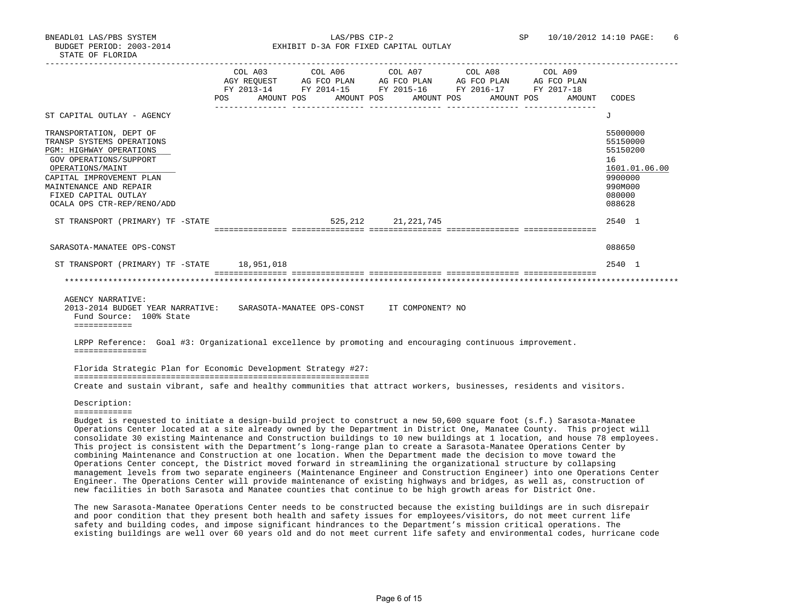BNEADL01 LAS/PBS SYSTEM LAS/PBS CIP-2 SP 10/10/2012 14:10 PAGE: 6 BUDGET PERIOD: 2003-2014 **EXHIBIT D-3A FOR FIXED CAPITAL OUTLAY** 

|                                                                                                                                                           |     | COL A03                 | COL A06 COL A07 |            |                       | COL A08                          | COL A09     |                                                                    |
|-----------------------------------------------------------------------------------------------------------------------------------------------------------|-----|-------------------------|-----------------|------------|-----------------------|----------------------------------|-------------|--------------------------------------------------------------------|
|                                                                                                                                                           |     | AGY REOUEST AG FCO PLAN |                 |            |                       | AG FCO PLAN AG FCO PLAN          | AG FCO PLAN |                                                                    |
|                                                                                                                                                           |     | FY 2013-14              |                 |            |                       | FY 2014-15 FY 2015-16 FY 2016-17 | FY 2017-18  |                                                                    |
|                                                                                                                                                           | POS | AMOUNT POS              |                 | AMOUNT POS | AMOUNT POS            | AMOUNT POS                       | AMOUNT      | CODES                                                              |
| ST CAPITAL OUTLAY - AGENCY                                                                                                                                |     |                         |                 |            |                       |                                  |             | J                                                                  |
| TRANSPORTATION, DEPT OF<br>TRANSP SYSTEMS OPERATIONS<br>PGM: HIGHWAY OPERATIONS<br>GOV OPERATIONS/SUPPORT<br>OPERATIONS/MAINT<br>CAPITAL IMPROVEMENT PLAN |     |                         |                 |            |                       |                                  |             | 55000000<br>55150000<br>55150200<br>16<br>1601.01.06.00<br>9900000 |
| MAINTENANCE AND REPAIR<br>FIXED CAPITAL OUTLAY<br>OCALA OPS CTR-REP/RENO/ADD                                                                              |     |                         |                 |            |                       |                                  |             | 990M000<br>080000<br>088628                                        |
|                                                                                                                                                           |     |                         |                 |            |                       |                                  |             |                                                                    |
| ST TRANSPORT (PRIMARY) TF -STATE                                                                                                                          |     |                         |                 |            | 525, 212 21, 221, 745 |                                  |             | 2540 1                                                             |
|                                                                                                                                                           |     |                         |                 |            | ==============        |                                  |             |                                                                    |
| SARASOTA-MANATEE OPS-CONST                                                                                                                                |     |                         |                 |            |                       |                                  |             | 088650                                                             |
| ST TRANSPORT (PRIMARY) TF -STATE 18,951,018                                                                                                               |     |                         |                 |            |                       |                                  |             | 2540 1                                                             |
|                                                                                                                                                           |     |                         |                 |            |                       |                                  |             |                                                                    |

AGENCY NARRATIVE:<br>2013-2014 BUDGET YEAR NARRATIVE: SARASOTA-MANATEE OPS-CONST IT COMPONENT? NO Fund Source: 100% State ============

 LRPP Reference: Goal #3: Organizational excellence by promoting and encouraging continuous improvement. ===============

 Florida Strategic Plan for Economic Development Strategy #27: ============================================================= Create and sustain vibrant, safe and healthy communities that attract workers, businesses, residents and visitors.

Description:

============

 Budget is requested to initiate a design-build project to construct a new 50,600 square foot (s.f.) Sarasota-Manatee Operations Center located at a site already owned by the Department in District One, Manatee County. This project will consolidate 30 existing Maintenance and Construction buildings to 10 new buildings at 1 location, and house 78 employees. This project is consistent with the Department's long-range plan to create a Sarasota-Manatee Operations Center by combining Maintenance and Construction at one location. When the Department made the decision to move toward the Operations Center concept, the District moved forward in streamlining the organizational structure by collapsing management levels from two separate engineers (Maintenance Engineer and Construction Engineer) into one Operations Center Engineer. The Operations Center will provide maintenance of existing highways and bridges, as well as, construction of new facilities in both Sarasota and Manatee counties that continue to be high growth areas for District One.

 The new Sarasota-Manatee Operations Center needs to be constructed because the existing buildings are in such disrepair and poor condition that they present both health and safety issues for employees/visitors, do not meet current life safety and building codes, and impose significant hindrances to the Department's mission critical operations. The existing buildings are well over 60 years old and do not meet current life safety and environmental codes, hurricane code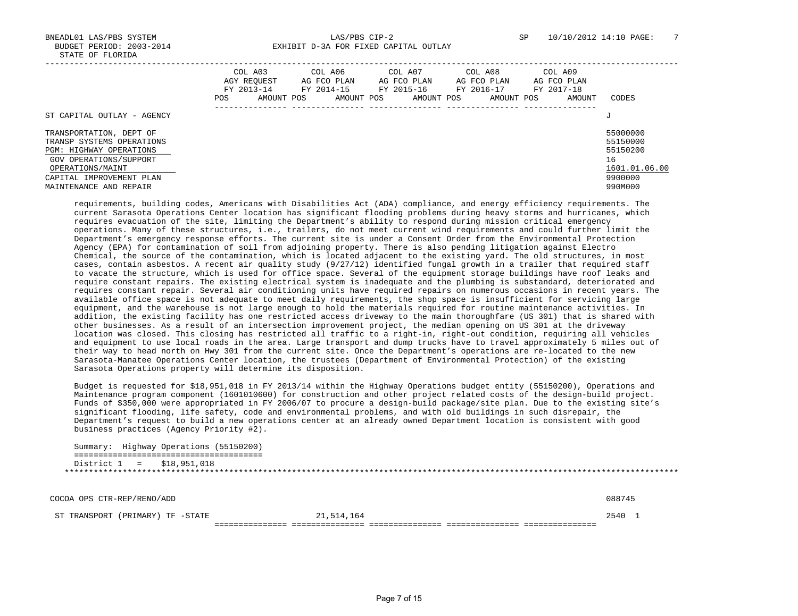BNEADL01 LAS/PBS SYSTEM LAS/PBS CIP-2 SP 10/10/2012 14:10 PAGE: 7 BUDGET PERIOD: 2003-2014 **EXHIBIT D-3A FOR FIXED CAPITAL OUTLAY** 

|                                                                                                                                      | COL A03<br>AGY REOUEST<br>FY 2013-14<br>AMOUNT POS<br>POS. | COL A06<br>AG FCO PLAN<br>FY 2014-15<br>AMOUNT POS | COL A07<br>AG FCO PLAN<br>FY 2015-16<br>AMOUNT POS | COL A08<br>AG FCO PLAN<br>FY 2016-17<br>AMOUNT POS | COL A09<br>AG FCO PLAN<br>FY 2017-18<br>AMOUNT | CODES                                                   |
|--------------------------------------------------------------------------------------------------------------------------------------|------------------------------------------------------------|----------------------------------------------------|----------------------------------------------------|----------------------------------------------------|------------------------------------------------|---------------------------------------------------------|
| ST CAPITAL OUTLAY - AGENCY                                                                                                           |                                                            |                                                    |                                                    |                                                    |                                                | J                                                       |
| TRANSPORTATION, DEPT OF<br>TRANSP SYSTEMS OPERATIONS<br><b>PGM: HIGHWAY OPERATIONS</b><br>GOV OPERATIONS/SUPPORT<br>OPERATIONS/MAINT |                                                            |                                                    |                                                    |                                                    |                                                | 55000000<br>55150000<br>55150200<br>16<br>1601.01.06.00 |
| CAPITAL IMPROVEMENT PLAN<br>MAINTENANCE AND REPAIR                                                                                   |                                                            |                                                    |                                                    |                                                    |                                                | 9900000<br>990M000                                      |

 requirements, building codes, Americans with Disabilities Act (ADA) compliance, and energy efficiency requirements. The current Sarasota Operations Center location has significant flooding problems during heavy storms and hurricanes, which requires evacuation of the site, limiting the Department's ability to respond during mission critical emergency operations. Many of these structures, i.e., trailers, do not meet current wind requirements and could further limit the Department's emergency response efforts. The current site is under a Consent Order from the Environmental Protection Agency (EPA) for contamination of soil from adjoining property. There is also pending litigation against Electro Chemical, the source of the contamination, which is located adjacent to the existing yard. The old structures, in most cases, contain asbestos. A recent air quality study (9/27/12) identified fungal growth in a trailer that required staff to vacate the structure, which is used for office space. Several of the equipment storage buildings have roof leaks and require constant repairs. The existing electrical system is inadequate and the plumbing is substandard, deteriorated and requires constant repair. Several air conditioning units have required repairs on numerous occasions in recent years. The available office space is not adequate to meet daily requirements, the shop space is insufficient for servicing large equipment, and the warehouse is not large enough to hold the materials required for routine maintenance activities. In addition, the existing facility has one restricted access driveway to the main thoroughfare (US 301) that is shared with other businesses. As a result of an intersection improvement project, the median opening on US 301 at the driveway location was closed. This closing has restricted all traffic to a right-in, right-out condition, requiring all vehicles and equipment to use local roads in the area. Large transport and dump trucks have to travel approximately 5 miles out of their way to head north on Hwy 301 from the current site. Once the Department's operations are re-located to the new Sarasota-Manatee Operations Center location, the trustees (Department of Environmental Protection) of the existing Sarasota Operations property will determine its disposition.

 Budget is requested for \$18,951,018 in FY 2013/14 within the Highway Operations budget entity (55150200), Operations and Maintenance program component (1601010600) for construction and other project related costs of the design-build project. Funds of \$350,000 were appropriated in FY 2006/07 to procure a design-build package/site plan. Due to the existing site's significant flooding, life safety, code and environmental problems, and with old buildings in such disrepair, the Department's request to build a new operations center at an already owned Department location is consistent with good business practices (Agency Priority #2).

 Summary: Highway Operations (55150200) ======================================= District 1 = \$18,951,018 \*\*\*\*\*\*\*\*\*\*\*\*\*\*\*\*\*\*\*\*\*\*\*\*\*\*\*\*\*\*\*\*\*\*\*\*\*\*\*\*\*\*\*\*\*\*\*\*\*\*\*\*\*\*\*\*\*\*\*\*\*\*\*\*\*\*\*\*\*\*\*\*\*\*\*\*\*\*\*\*\*\*\*\*\*\*\*\*\*\*\*\*\*\*\*\*\*\*\*\*\*\*\*\*\*\*\*\*\*\*\*\*\*\*\*\*\*\*\*\*\*\*\*\*\*\*\*

 COCOA OPS CTR-REP/RENO/ADD 088745 ST TRANSPORT (PRIMARY) TF -STATE 21,514,164 2540 1 =============== =============== =============== =============== ===============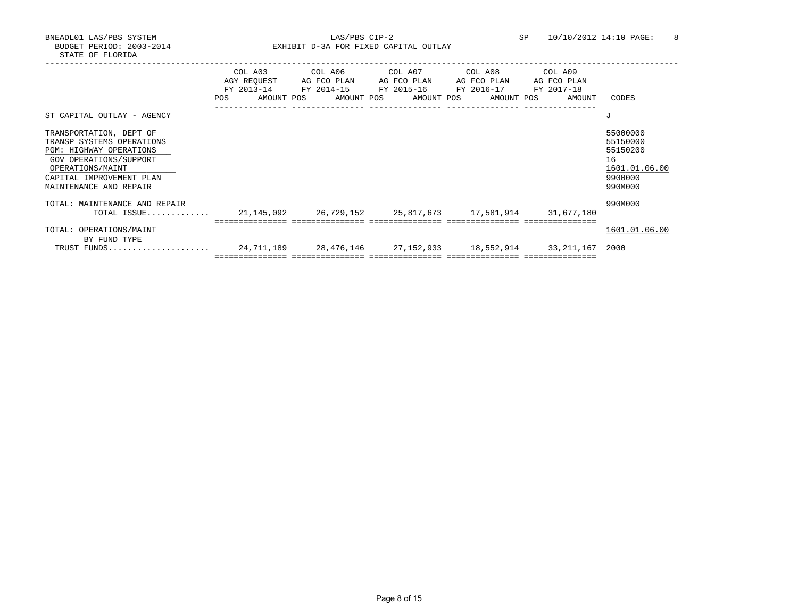BNEADL01 LAS/PBS SYSTEM LAS/PBS CIP-2 SP 10/10/2012 14:10 PAGE: 8 BUDGET PERIOD: 2003-2014 **EXHIBIT D-3A FOR FIXED CAPITAL OUTLAY** 

|                                                                                                                                                                                     | POS | COL A03<br>AGY REOUEST<br>FY 2013-14 FY 2014-15 FY 2015-16 FY 2016-17 FY 2017-18<br>AMOUNT POS | COL A06<br>AG FCO PLAN | AMOUNT POS |  | COL A07<br>AG FCO PLAN<br>AMOUNT POS | COL A08<br>AG FCO PLAN | AMOUNT POS | COL A09 | AG FCO PLAN<br>AMOUNT | CODES                                                                         |
|-------------------------------------------------------------------------------------------------------------------------------------------------------------------------------------|-----|------------------------------------------------------------------------------------------------|------------------------|------------|--|--------------------------------------|------------------------|------------|---------|-----------------------|-------------------------------------------------------------------------------|
| ST CAPITAL OUTLAY - AGENCY                                                                                                                                                          |     |                                                                                                |                        |            |  |                                      |                        |            |         |                       | J                                                                             |
| TRANSPORTATION, DEPT OF<br>TRANSP SYSTEMS OPERATIONS<br>PGM: HIGHWAY OPERATIONS<br>GOV OPERATIONS/SUPPORT<br>OPERATIONS/MAINT<br>CAPITAL IMPROVEMENT PLAN<br>MAINTENANCE AND REPAIR |     |                                                                                                |                        |            |  |                                      |                        |            |         |                       | 55000000<br>55150000<br>55150200<br>16<br>1601.01.06.00<br>9900000<br>990M000 |
| TOTAL: MAINTENANCE AND REPAIR<br>TOTAL ISSUE 21,145,092 26,729,152 25,817,673 17,581,914 31,677,180                                                                                 |     |                                                                                                |                        |            |  |                                      |                        |            |         |                       | 990M000                                                                       |
| TOTAL: OPERATIONS/MAINT<br>BY FUND TYPE                                                                                                                                             |     |                                                                                                |                        |            |  |                                      |                        |            |         |                       | 1601.01.06.00                                                                 |
| TRUST FUNDS                                                                                                                                                                         |     | 24,711,189                                                                                     |                        |            |  |                                      |                        |            |         |                       | 2000                                                                          |

Page 8 of 15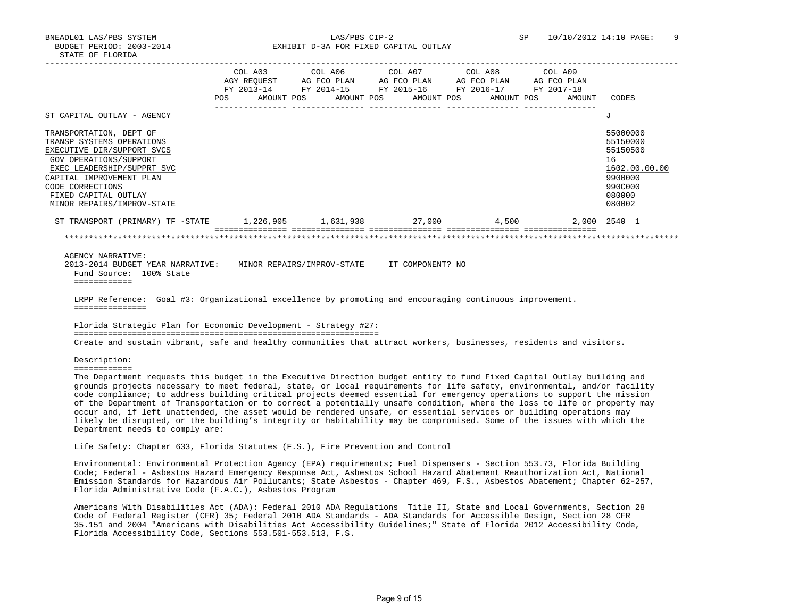BNEADL01 LAS/PBS SYSTEM LAS/PBS CIP-2 SP 10/10/2012 14:10 PAGE: 9 BUDGET PERIOD: 2003-2014 **EXHIBIT D-3A FOR FIXED CAPITAL OUTLAY** 

 ----------------------------------------------------------------------------------------------------------------------------------- COL A03 COL A06 COL A07 COL A08 COL A09 AGY REQUEST AG FCO PLAN AG FCO PLAN AG FCO PLAN AG FCO PLAN FY 2013-14 FY 2014-15 FY 2015-16 FY 2016-17 FY 2017-18 POS AMOUNT POS AMOUNT POS AMOUNT POS AMOUNT POS AMOUNT CODES --------------- --------------- --------------- --------------- --------------- ST CAPITAL OUTLAY - AGENCY J TRANSPORTATION, DEPT OF SERVICES AND SERVICES OF SERVICES AND STOLEN ASSESSED AND STRANSPORTATION, DEPT OF SERVICES AND STRANSPORTATIONS AND STRANSPORT SERVICES OF SERVICES AND SERVICES OF SERVICES AND SERVICES OF SERVICES TRANSP SYSTEMS OPERATIONS EXECUTIVE DIR/SUPPORT SVCS 55150500 GOV OPERATIONS/SUPPORT 16 EXEC LEADERSHIP/SUPPRT SVC 1602.00.00.00 \_\_\_\_\_\_\_\_\_\_\_\_\_\_\_\_\_\_\_\_\_\_\_\_\_\_ \_\_\_\_\_\_\_\_\_\_\_\_\_ CAPITAL IMPROVEMENT PLAN CODE CORRECTIONS 990C000 FIXED CAPITAL OUTLAY 080000 MINOR REPAIRS/IMPROV-STATE 080002 ST TRANSPORT (PRIMARY) TF -STATE 1,226,905 1,631,938 27,000 4,500 2,000 2540 1 =============== =============== =============== =============== =============== \*\*\*\*\*\*\*\*\*\*\*\*\*\*\*\*\*\*\*\*\*\*\*\*\*\*\*\*\*\*\*\*\*\*\*\*\*\*\*\*\*\*\*\*\*\*\*\*\*\*\*\*\*\*\*\*\*\*\*\*\*\*\*\*\*\*\*\*\*\*\*\*\*\*\*\*\*\*\*\*\*\*\*\*\*\*\*\*\*\*\*\*\*\*\*\*\*\*\*\*\*\*\*\*\*\*\*\*\*\*\*\*\*\*\*\*\*\*\*\*\*\*\*\*\*\*\* AGENCY NARRATIVE: 2013-2014 BUDGET YEAR NARRATIVE: MINOR REPAIRS/IMPROV-STATE IT COMPONENT? NO Fund Source: 100% State ============ LRPP Reference: Goal #3: Organizational excellence by promoting and encouraging continuous improvement. =============== Florida Strategic Plan for Economic Development - Strategy #27: =============================================================== Create and sustain vibrant, safe and healthy communities that attract workers, businesses, residents and visitors. Description: ============ The Department requests this budget in the Executive Direction budget entity to fund Fixed Capital Outlay building and grounds projects necessary to meet federal, state, or local requirements for life safety, environmental, and/or facility code compliance; to address building critical projects deemed essential for emergency operations to support the mission of the Department of Transportation or to correct a potentially unsafe condition, where the loss to life or property may occur and, if left unattended, the asset would be rendered unsafe, or essential services or building operations may likely be disrupted, or the building's integrity or habitability may be compromised. Some of the issues with which the Department needs to comply are: Life Safety: Chapter 633, Florida Statutes (F.S.), Fire Prevention and Control Environmental: Environmental Protection Agency (EPA) requirements; Fuel Dispensers - Section 553.73, Florida Building Code; Federal - Asbestos Hazard Emergency Response Act, Asbestos School Hazard Abatement Reauthorization Act, National Emission Standards for Hazardous Air Pollutants; State Asbestos - Chapter 469, F.S., Asbestos Abatement; Chapter 62-257, Florida Administrative Code (F.A.C.), Asbestos Program

 Americans With Disabilities Act (ADA): Federal 2010 ADA Regulations Title II, State and Local Governments, Section 28 Code of Federal Register (CFR) 35; Federal 2010 ADA Standards - ADA Standards for Accessible Design, Section 28 CFR 35.151 and 2004 "Americans with Disabilities Act Accessibility Guidelines;" State of Florida 2012 Accessibility Code,

Florida Accessibility Code, Sections 553.501-553.513, F.S.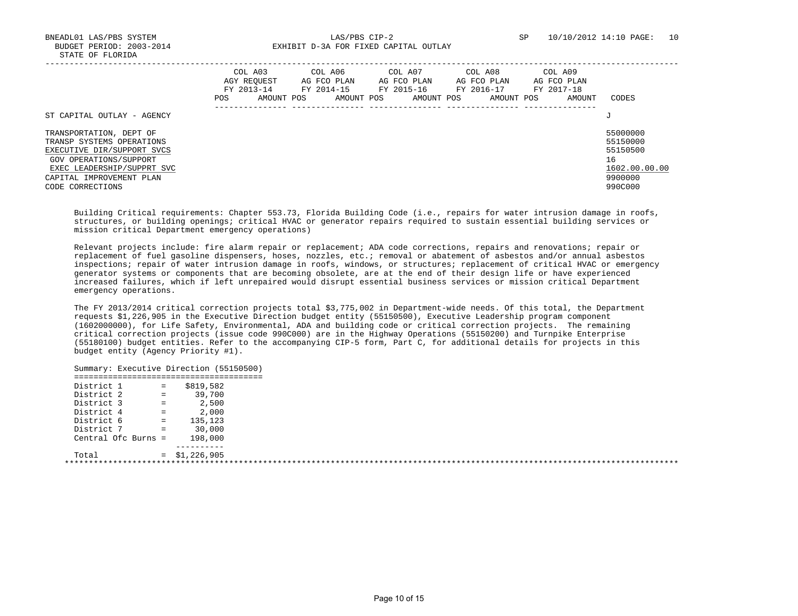BNEADL01 LAS/PBS SYSTEM LAS/PBS CIP-2 SP 10/10/2012 14:10 PAGE: 10 BUDGET PERIOD: 2003-2014 **EXHIBIT D-3A FOR FIXED CAPITAL OUTLAY** 

|                                                                                                                                                                                            | COL A03<br>AGY REOUEST<br>FY 2013-14<br>POS | AMOUNT POS | COL A06<br>AG FCO PLAN<br>FY 2014-15<br>AMOUNT POS | COL A07<br>AG FCO PLAN<br>FY 2015-16<br>AMOUNT POS | COL A08<br>AG FCO PLAN<br>FY 2016-17<br>AMOUNT POS | COL A09<br>AG FCO PLAN<br>FY 2017-18<br>AMOUNT | CODES                                                                         |
|--------------------------------------------------------------------------------------------------------------------------------------------------------------------------------------------|---------------------------------------------|------------|----------------------------------------------------|----------------------------------------------------|----------------------------------------------------|------------------------------------------------|-------------------------------------------------------------------------------|
| ST CAPITAL OUTLAY - AGENCY                                                                                                                                                                 |                                             |            |                                                    |                                                    |                                                    |                                                | J                                                                             |
| TRANSPORTATION, DEPT OF<br>TRANSP SYSTEMS OPERATIONS<br>EXECUTIVE DIR/SUPPORT SVCS<br>GOV OPERATIONS/SUPPORT<br>EXEC LEADERSHIP/SUPPRT SVC<br>CAPITAL IMPROVEMENT PLAN<br>CODE CORRECTIONS |                                             |            |                                                    |                                                    |                                                    |                                                | 55000000<br>55150000<br>55150500<br>16<br>1602.00.00.00<br>9900000<br>990C000 |

 Building Critical requirements: Chapter 553.73, Florida Building Code (i.e., repairs for water intrusion damage in roofs, structures, or building openings; critical HVAC or generator repairs required to sustain essential building services or mission critical Department emergency operations)

 Relevant projects include: fire alarm repair or replacement; ADA code corrections, repairs and renovations; repair or replacement of fuel gasoline dispensers, hoses, nozzles, etc.; removal or abatement of asbestos and/or annual asbestos inspections; repair of water intrusion damage in roofs, windows, or structures; replacement of critical HVAC or emergency generator systems or components that are becoming obsolete, are at the end of their design life or have experienced increased failures, which if left unrepaired would disrupt essential business services or mission critical Department emergency operations.

 The FY 2013/2014 critical correction projects total \$3,775,002 in Department-wide needs. Of this total, the Department requests \$1,226,905 in the Executive Direction budget entity (55150500), Executive Leadership program component (1602000000), for Life Safety, Environmental, ADA and building code or critical correction projects. The remaining critical correction projects (issue code 990C000) are in the Highway Operations (55150200) and Turnpike Enterprise (55180100) budget entities. Refer to the accompanying CIP-5 form, Part C, for additional details for projects in this budget entity (Agency Priority #1).

| District 1          | $=$      | \$819,582 |  |
|---------------------|----------|-----------|--|
| District 2          | $\equiv$ | 39,700    |  |
| District 3          | $=$      | 2,500     |  |
| District 4          | $=$      | 2,000     |  |
| District 6          | $=$      | 135,123   |  |
| District 7          | $=$      | 30,000    |  |
| Central Ofc Burns = |          | 198,000   |  |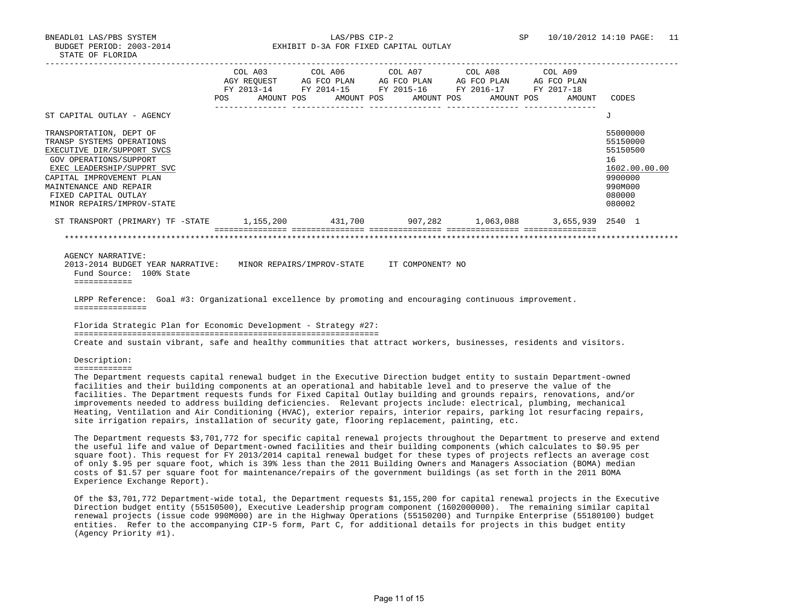BNEADL01 LAS/PBS SYSTEM LAS/PBS CIP-2 SP 10/10/2012 14:10 PAGE: 11 BUDGET PERIOD: 2003-2014 **EXHIBIT D-3A FOR FIXED CAPITAL OUTLAY** 

|                                                                                                                                                                                                                                                                                                                                                                                                                                                                                                                                                                                                                                                                                                               | COL A03<br>AGY REQUEST AG FCO PLAN AG FCO PLAN AG FCO PLAN AG FCO PLAN<br>FY 2013-14 FY 2014-15 FY 2015-16 FY 2016-17 FY 2017-18<br>POS AMOUNT POS AMOUNT POS AMOUNT POS AMOUNT POS |                                                                                                                  | COL A06 | COL A07 | COL A08 | COL A09<br>AMOUNT | CODES                                                                            |               |
|---------------------------------------------------------------------------------------------------------------------------------------------------------------------------------------------------------------------------------------------------------------------------------------------------------------------------------------------------------------------------------------------------------------------------------------------------------------------------------------------------------------------------------------------------------------------------------------------------------------------------------------------------------------------------------------------------------------|-------------------------------------------------------------------------------------------------------------------------------------------------------------------------------------|------------------------------------------------------------------------------------------------------------------|---------|---------|---------|-------------------|----------------------------------------------------------------------------------|---------------|
| ST CAPITAL OUTLAY - AGENCY                                                                                                                                                                                                                                                                                                                                                                                                                                                                                                                                                                                                                                                                                    |                                                                                                                                                                                     |                                                                                                                  |         |         |         |                   | J                                                                                |               |
| TRANSPORTATION, DEPT OF<br>TRANSP SYSTEMS OPERATIONS<br>EXECUTIVE DIR/SUPPORT SVCS<br>GOV OPERATIONS/SUPPORT<br>EXEC LEADERSHIP/SUPPRT SVC<br>CAPITAL IMPROVEMENT PLAN<br>MAINTENANCE AND REPAIR<br>FIXED CAPITAL OUTLAY<br>MINOR REPAIRS/IMPROV-STATE                                                                                                                                                                                                                                                                                                                                                                                                                                                        |                                                                                                                                                                                     |                                                                                                                  |         |         |         |                   | 55000000<br>55150000<br>55150500<br>16<br>9900000<br>990M000<br>080000<br>080002 | 1602.00.00.00 |
| ST TRANSPORT (PRIMARY) TF -STATE 1,155,200 431,700 907,282 1,063,088                                                                                                                                                                                                                                                                                                                                                                                                                                                                                                                                                                                                                                          |                                                                                                                                                                                     |                                                                                                                  |         |         |         | 3,655,939 2540 1  |                                                                                  |               |
| LRPP Reference: Goal #3: Organizational excellence by promoting and encouraging continuous improvement.<br>===============                                                                                                                                                                                                                                                                                                                                                                                                                                                                                                                                                                                    |                                                                                                                                                                                     |                                                                                                                  |         |         |         |                   |                                                                                  |               |
| Florida Strategic Plan for Economic Development - Strategy #27:                                                                                                                                                                                                                                                                                                                                                                                                                                                                                                                                                                                                                                               |                                                                                                                                                                                     |                                                                                                                  |         |         |         |                   |                                                                                  |               |
| Create and sustain vibrant, safe and healthy communities that attract workers, businesses, residents and visitors.                                                                                                                                                                                                                                                                                                                                                                                                                                                                                                                                                                                            |                                                                                                                                                                                     |                                                                                                                  |         |         |         |                   |                                                                                  |               |
| Description:<br>============                                                                                                                                                                                                                                                                                                                                                                                                                                                                                                                                                                                                                                                                                  |                                                                                                                                                                                     |                                                                                                                  |         |         |         |                   |                                                                                  |               |
| The Department requests capital renewal budget in the Executive Direction budget entity to sustain Department-owned<br>facilities and their building components at an operational and habitable level and to preserve the value of the<br>facilities. The Department requests funds for Fixed Capital Outlay building and grounds repairs, renovations, and/or<br>improvements needed to address building deficiencies. Relevant projects include: electrical, plumbing, mechanical<br>Heating, Ventilation and Air Conditioning (HVAC), exterior repairs, interior repairs, parking lot resurfacing repairs,<br>site irrigation repairs, installation of security gate, flooring replacement, painting, etc. |                                                                                                                                                                                     |                                                                                                                  |         |         |         |                   |                                                                                  |               |
| The Department requests \$3,701,772 for specific capital renewal projects throughout the Department to preserve and extend<br>the useful life and value of Department-owned facilities and their building components (which calculates to \$0.95 per<br>square foot). This request for FY 2013/2014 capital renewal budget for these types of projects reflects an average cost                                                                                                                                                                                                                                                                                                                               |                                                                                                                                                                                     | C 101 A AF 0.10 Second City 1.1.1.1.1.1.1.2.00 1.00 the CA11 Bolling County and Montered Resolution (BOM) states |         |         |         |                   |                                                                                  |               |

 of only \$.95 per square foot, which is 39% less than the 2011 Building Owners and Managers Association (BOMA) median costs of \$1.57 per square foot for maintenance/repairs of the government buildings (as set forth in the 2011 BOMA Experience Exchange Report).

 Of the \$3,701,772 Department-wide total, the Department requests \$1,155,200 for capital renewal projects in the Executive Direction budget entity (55150500), Executive Leadership program component (1602000000). The remaining similar capital renewal projects (issue code 990M000) are in the Highway Operations (55150200) and Turnpike Enterprise (55180100) budget entities. Refer to the accompanying CIP-5 form, Part C, for additional details for projects in this budget entity (Agency Priority #1).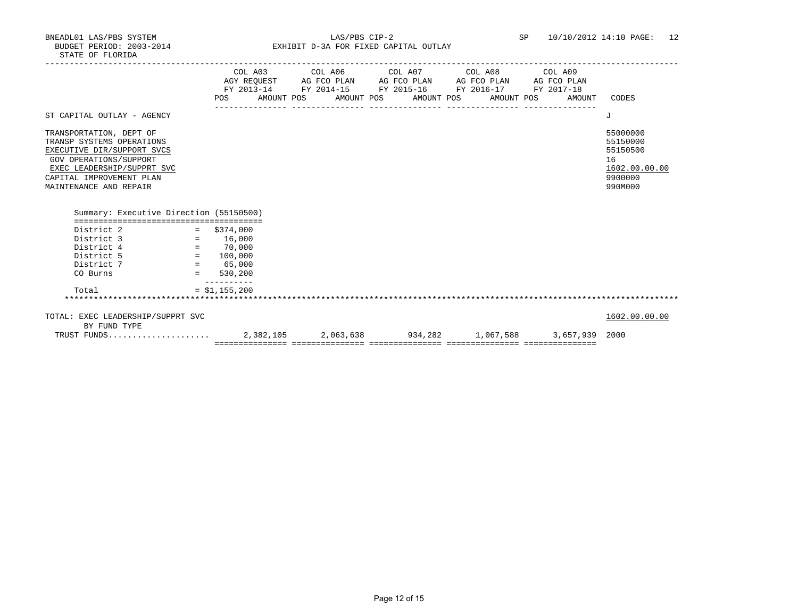BNEADL01 LAS/PBS SYSTEM LAS/PBS CIP-2 SP 10/10/2012 14:10 PAGE: 12 BUDGET PERIOD: 2003-2014 **EXHIBIT D-3A FOR FIXED CAPITAL OUTLAY** 

|                                                                                                                                                                                                  |                                           | COL A03 COL A06 COL A07 COL A08 COL A09<br>AGY REQUEST AG FCO PLAN AG FCO PLAN AG FCO PLAN AG FCO PLAN<br>FY 2013-14 FY 2014-15 FY 2015-16 FY 2016-17 FY 2017-18 |  |        |                                                                               |
|--------------------------------------------------------------------------------------------------------------------------------------------------------------------------------------------------|-------------------------------------------|------------------------------------------------------------------------------------------------------------------------------------------------------------------|--|--------|-------------------------------------------------------------------------------|
|                                                                                                                                                                                                  |                                           | POS AMOUNT POS AMOUNT POS AMOUNT POS AMOUNT POS                                                                                                                  |  | AMOUNT | CODES                                                                         |
| ST CAPITAL OUTLAY - AGENCY                                                                                                                                                                       |                                           |                                                                                                                                                                  |  |        | J                                                                             |
| TRANSPORTATION, DEPT OF<br>TRANSP SYSTEMS OPERATIONS<br>EXECUTIVE DIR/SUPPORT SVCS<br>GOV OPERATIONS/SUPPORT<br>EXEC LEADERSHIP/SUPPRT SVC<br>CAPITAL IMPROVEMENT PLAN<br>MAINTENANCE AND REPAIR |                                           |                                                                                                                                                                  |  |        | 55000000<br>55150000<br>55150500<br>16<br>1602.00.00.00<br>9900000<br>990M000 |
| Summary: Executive Direction (55150500)                                                                                                                                                          |                                           |                                                                                                                                                                  |  |        |                                                                               |
| District 2<br>District 3<br>District 4                                                                                                                                                           | $=$ \$374,000<br>$= 16,000$<br>$= 70,000$ |                                                                                                                                                                  |  |        |                                                                               |
| District 5<br>$Distance 7 = 65,000$<br>CO Burns                                                                                                                                                  | $= 100,000$<br>$= 530,200$                |                                                                                                                                                                  |  |        |                                                                               |
| Total                                                                                                                                                                                            | $- - - - - - - - -$<br>$= $1,155,200$     |                                                                                                                                                                  |  |        |                                                                               |
| TOTAL: EXEC LEADERSHIP/SUPPRT SVC                                                                                                                                                                |                                           |                                                                                                                                                                  |  |        | 1602.00.00.00                                                                 |
| BY FUND TYPE<br>TRUST FUNDS                                                                                                                                                                      |                                           |                                                                                                                                                                  |  |        |                                                                               |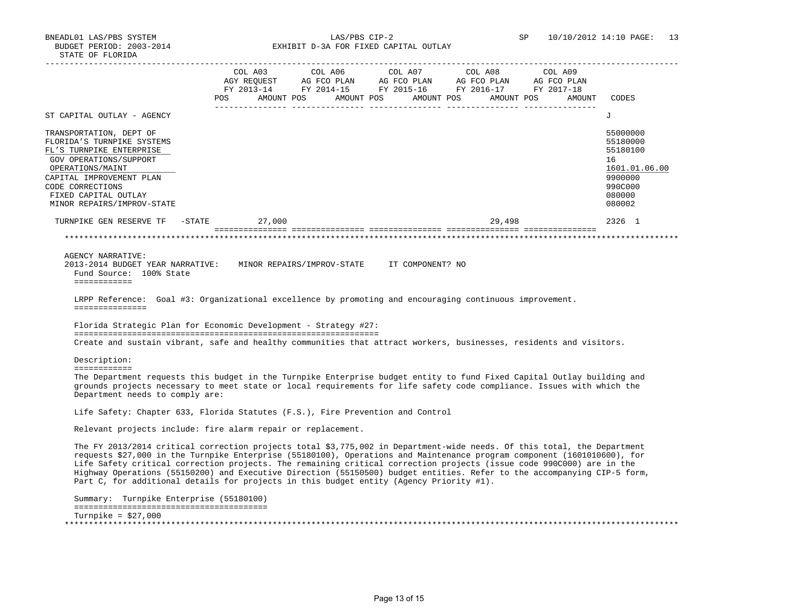Turnpike = \$27,000

BUDGET PERIOD: 2003-2014 EXHIBIT D-3A FOR FIXED CAPITAL OUTLAY

 ----------------------------------------------------------------------------------------------------------------------------------- COL A03 COL A06 COL A07 COL A08 COL A09 AGY REQUEST AG FCO PLAN AG FCO PLAN AG FCO PLAN AG FCO PLAN FY 2013-14 FY 2014-15 FY 2015-16 FY 2016-17 FY 2017-18 POS AMOUNT POS AMOUNT POS AMOUNT POS AMOUNT POS AMOUNT CODES --------------- --------------- --------------- --------------- --------------- ST CAPITAL OUTLAY - AGENCY J TRANSPORTATION, DEPT OF 55000000<br>FLORIDA'S TURNPIKE SYSTEMS 55000000 FLORIDAE SYSTEMS 55180000 FLORIDAE SYSTEMS 55180000 FLORIDA'S TURNPIKE SYSTEMS FLORIDA'S TURNPIKE SYSTEMS FL'S TURNPIKE ENTERPRISE 55180100 GOV OPERATIONS/SUPPORT 16 OPERATIONS/MAINT 1601.01.06.00 \_\_\_\_\_\_\_\_\_\_\_\_\_\_\_\_\_\_\_\_\_\_\_\_\_\_ \_\_\_\_\_\_\_\_\_\_\_\_\_ CAPITAL IMPROVEMENT PLAN 9900000 CODE CORRECTIONS 990C000<br>FIXED CAPITAL OUTLAY 600000 FIXED CAPITAL OUTLAY MINOR REPAIRS/IMPROV-STATE 080002 TURNPIKE GEN RESERVE TF -STATE 27,000 29,498 2326 1 =============== =============== =============== =============== =============== \*\*\*\*\*\*\*\*\*\*\*\*\*\*\*\*\*\*\*\*\*\*\*\*\*\*\*\*\*\*\*\*\*\*\*\*\*\*\*\*\*\*\*\*\*\*\*\*\*\*\*\*\*\*\*\*\*\*\*\*\*\*\*\*\*\*\*\*\*\*\*\*\*\*\*\*\*\*\*\*\*\*\*\*\*\*\*\*\*\*\*\*\*\*\*\*\*\*\*\*\*\*\*\*\*\*\*\*\*\*\*\*\*\*\*\*\*\*\*\*\*\*\*\*\*\*\* AGENCY NARRATIVE: 2013-2014 BUDGET YEAR NARRATIVE: MINOR REPAIRS/IMPROV-STATE IT COMPONENT? NO Fund Source: 100% State ============ LRPP Reference: Goal #3: Organizational excellence by promoting and encouraging continuous improvement. =============== Florida Strategic Plan for Economic Development - Strategy #27: =============================================================== Create and sustain vibrant, safe and healthy communities that attract workers, businesses, residents and visitors. Description: ============ The Department requests this budget in the Turnpike Enterprise budget entity to fund Fixed Capital Outlay building and grounds projects necessary to meet state or local requirements for life safety code compliance. Issues with which the Department needs to comply are: Life Safety: Chapter 633, Florida Statutes (F.S.), Fire Prevention and Control Relevant projects include: fire alarm repair or replacement. The FY 2013/2014 critical correction projects total \$3,775,002 in Department-wide needs. Of this total, the Department requests \$27,000 in the Turnpike Enterprise (55180100), Operations and Maintenance program component (1601010600), for Life Safety critical correction projects. The remaining critical correction projects (issue code 990C000) are in the Highway Operations (55150200) and Executive Direction (55150500) budget entities. Refer to the accompanying CIP-5 form, Part C, for additional details for projects in this budget entity (Agency Priority #1). Summary: Turnpike Enterprise (55180100) ========================================

\*\*\*\*\*\*\*\*\*\*\*\*\*\*\*\*\*\*\*\*\*\*\*\*\*\*\*\*\*\*\*\*\*\*\*\*\*\*\*\*\*\*\*\*\*\*\*\*\*\*\*\*\*\*\*\*\*\*\*\*\*\*\*\*\*\*\*\*\*\*\*\*\*\*\*\*\*\*\*\*\*\*\*\*\*\*\*\*\*\*\*\*\*\*\*\*\*\*\*\*\*\*\*\*\*\*\*\*\*\*\*\*\*\*\*\*\*\*\*\*\*\*\*\*\*\*\*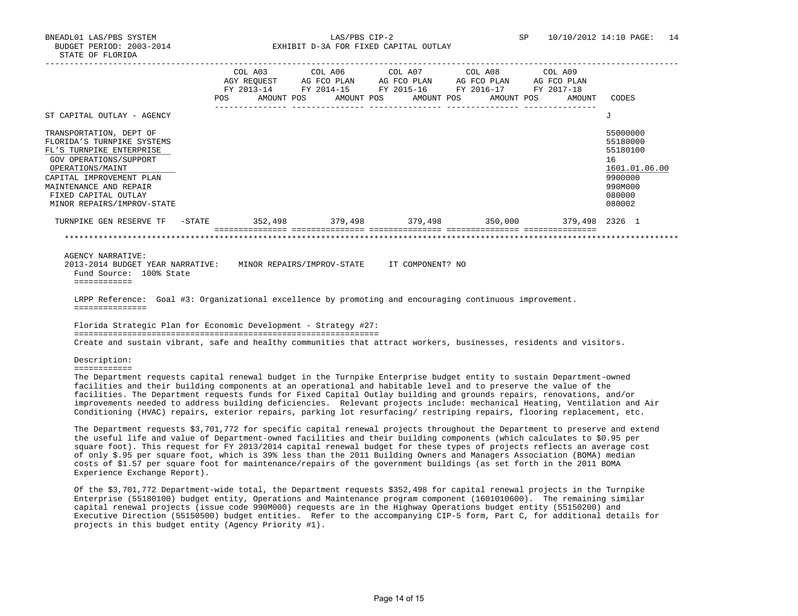BNEADL01 LAS/PBS SYSTEM LAS/PBS CIP-2 SP 10/10/2012 14:10 PAGE: 14 BUDGET PERIOD: 2003-2014 **EXHIBIT D-3A FOR FIXED CAPITAL OUTLAY** 

|                                                                                                                                                                                                                                                                                                                                                                                                                                                                                                                                                                                                                      |  |  |  | COL A03 COL A06 COL A07 COL A08 COL A09<br>POS AMOUNT POS AMOUNT POS AMOUNT POS AMOUNT POS | AMOUNT | CODES                                                                                             |
|----------------------------------------------------------------------------------------------------------------------------------------------------------------------------------------------------------------------------------------------------------------------------------------------------------------------------------------------------------------------------------------------------------------------------------------------------------------------------------------------------------------------------------------------------------------------------------------------------------------------|--|--|--|--------------------------------------------------------------------------------------------|--------|---------------------------------------------------------------------------------------------------|
| ST CAPITAL OUTLAY - AGENCY                                                                                                                                                                                                                                                                                                                                                                                                                                                                                                                                                                                           |  |  |  |                                                                                            |        | J                                                                                                 |
| TRANSPORTATION, DEPT OF<br>FLORIDA'S TURNPIKE SYSTEMS<br>FL'S TURNPIKE ENTERPRISE<br>GOV OPERATIONS/SUPPORT<br>OPERATIONS/MAINT<br>CAPITAL IMPROVEMENT PLAN<br>MAINTENANCE AND REPAIR<br>FIXED CAPITAL OUTLAY<br>MINOR REPAIRS/IMPROV-STATE                                                                                                                                                                                                                                                                                                                                                                          |  |  |  |                                                                                            |        | 55000000<br>55180000<br>55180100<br>16<br>1601.01.06.00<br>9900000<br>990M000<br>080000<br>080002 |
| TURNPIKE GEN RESERVE TF -STATE 352,498 379,498 379,498 379,498 350,000 379,498 2326 1                                                                                                                                                                                                                                                                                                                                                                                                                                                                                                                                |  |  |  |                                                                                            |        |                                                                                                   |
| LRPP Reference: Goal #3: Organizational excellence by promoting and encouraging continuous improvement.<br>===============<br>Florida Strategic Plan for Economic Development - Strategy #27:                                                                                                                                                                                                                                                                                                                                                                                                                        |  |  |  |                                                                                            |        |                                                                                                   |
| Create and sustain vibrant, safe and healthy communities that attract workers, businesses, residents and visitors.                                                                                                                                                                                                                                                                                                                                                                                                                                                                                                   |  |  |  |                                                                                            |        |                                                                                                   |
| Description:                                                                                                                                                                                                                                                                                                                                                                                                                                                                                                                                                                                                         |  |  |  |                                                                                            |        |                                                                                                   |
| ============                                                                                                                                                                                                                                                                                                                                                                                                                                                                                                                                                                                                         |  |  |  |                                                                                            |        |                                                                                                   |
| The Department requests capital renewal budget in the Turnpike Enterprise budget entity to sustain Department-owned<br>facilities and their building components at an operational and habitable level and to preserve the value of the<br>facilities. The Department requests funds for Fixed Capital Outlay building and grounds repairs, renovations, and/or<br>improvements needed to address building deficiencies. Relevant projects include: mechanical Heating, Ventilation and Air<br>Conditioning (HVAC) repairs, exterior repairs, parking lot resurfacing/ restriping repairs, flooring replacement, etc. |  |  |  |                                                                                            |        |                                                                                                   |
|                                                                                                                                                                                                                                                                                                                                                                                                                                                                                                                                                                                                                      |  |  |  |                                                                                            |        |                                                                                                   |

Experience Exchange Report).

 Of the \$3,701,772 Department-wide total, the Department requests \$352,498 for capital renewal projects in the Turnpike Enterprise (55180100) budget entity, Operations and Maintenance program component (1601010600). The remaining similar capital renewal projects (issue code 990M000) requests are in the Highway Operations budget entity (55150200) and Executive Direction (55150500) budget entities. Refer to the accompanying CIP-5 form, Part C, for additional details for projects in this budget entity (Agency Priority #1).